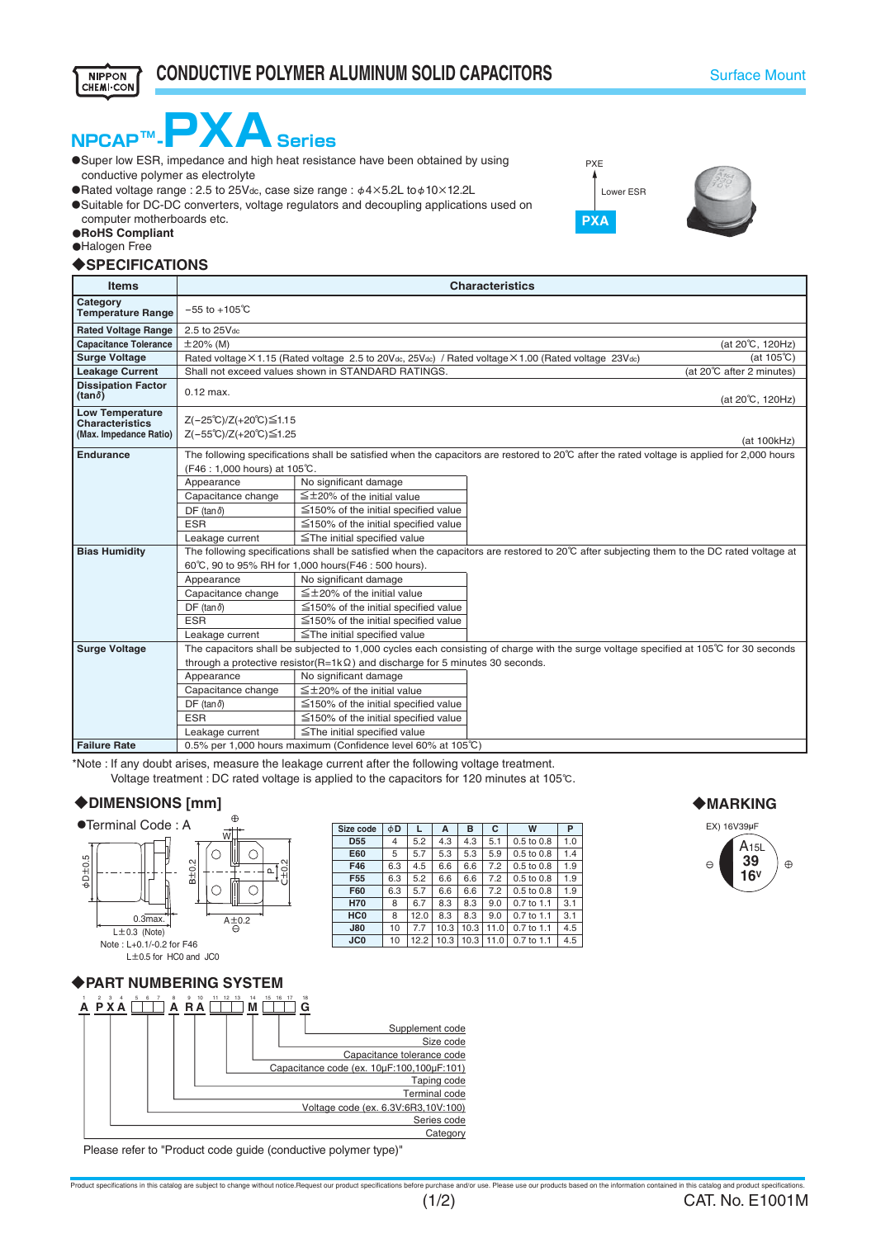



- conductive polymer as electrolyte
- $\bullet$ Rated voltage range : 2.5 to 25Vdc, case size range :  $\phi$ 4×5.2L to $\phi$ 10×12.2L
- ●Suitable for DC-DC converters, voltage regulators and decoupling applications used on computer motherboards etc.
- ●**RoHS Compliant**
- ●Halogen Free

**NIPPON** CHEMI CON

#### ◆**SPECIFICATIONS**

| <b>Items</b>                                                               | <b>Characteristics</b>                                                                                                                                                     |                                            |  |  |  |  |  |  |
|----------------------------------------------------------------------------|----------------------------------------------------------------------------------------------------------------------------------------------------------------------------|--------------------------------------------|--|--|--|--|--|--|
| Category<br><b>Temperature Range</b>                                       | $-55$ to $+105^{\circ}$ C                                                                                                                                                  |                                            |  |  |  |  |  |  |
| <b>Rated Voltage Range</b>                                                 | 2.5 to 25Vdc                                                                                                                                                               |                                            |  |  |  |  |  |  |
| <b>Capacitance Tolerance</b>                                               | $\pm 20\%$ (M)<br>(at 20°C, 120Hz)                                                                                                                                         |                                            |  |  |  |  |  |  |
| <b>Surge Voltage</b>                                                       | Rated voltage × 1.15 (Rated voltage 2.5 to 20Vdc, 25Vdc) / Rated voltage × 1.00 (Rated voltage 23Vdc)<br>(at $105^{\circ}$ C)                                              |                                            |  |  |  |  |  |  |
| <b>Leakage Current</b>                                                     | Shall not exceed values shown in STANDARD RATINGS.<br>(at 20℃ after 2 minutes)                                                                                             |                                            |  |  |  |  |  |  |
| <b>Dissipation Factor</b><br>(tan <sub>δ</sub> )                           | $0.12$ max.<br>(at 20℃, 120Hz)                                                                                                                                             |                                            |  |  |  |  |  |  |
| <b>Low Temperature</b><br><b>Characteristics</b><br>(Max. Impedance Ratio) | Z(-25℃)/Z(+20℃)≦1.15<br>Z(-55°C)/Z(+20°C)≦1.25<br>(at 100kHz)                                                                                                              |                                            |  |  |  |  |  |  |
| <b>Endurance</b>                                                           | The following specifications shall be satisfied when the capacitors are restored to 20℃ after the rated voltage is applied for 2,000 hours<br>(F46 : 1,000 hours) at 105℃. |                                            |  |  |  |  |  |  |
|                                                                            | Appearance                                                                                                                                                                 | No significant damage                      |  |  |  |  |  |  |
|                                                                            | Capacitance change                                                                                                                                                         | $\leq$ ±20% of the initial value           |  |  |  |  |  |  |
|                                                                            | DF (tan $\delta$ )                                                                                                                                                         | $\leq$ 150% of the initial specified value |  |  |  |  |  |  |
|                                                                            | <b>ESR</b>                                                                                                                                                                 | $\leq$ 150% of the initial specified value |  |  |  |  |  |  |
|                                                                            | Leakage current                                                                                                                                                            | $\le$ The initial specified value          |  |  |  |  |  |  |
| <b>Bias Humidity</b>                                                       | The following specifications shall be satisfied when the capacitors are restored to 20℃ after subjecting them to the DC rated voltage at                                   |                                            |  |  |  |  |  |  |
|                                                                            | 60°C, 90 to 95% RH for 1,000 hours (F46 : 500 hours).                                                                                                                      |                                            |  |  |  |  |  |  |
|                                                                            | Appearance                                                                                                                                                                 | No significant damage                      |  |  |  |  |  |  |
|                                                                            | Capacitance change                                                                                                                                                         | $\leq$ ±20% of the initial value           |  |  |  |  |  |  |
|                                                                            | $DF$ (tan $\delta$ )                                                                                                                                                       | $\leq$ 150% of the initial specified value |  |  |  |  |  |  |
|                                                                            | <b>ESR</b>                                                                                                                                                                 | $\leq$ 150% of the initial specified value |  |  |  |  |  |  |
|                                                                            | Leakage current                                                                                                                                                            | $\le$ The initial specified value          |  |  |  |  |  |  |
| <b>Surge Voltage</b>                                                       | The capacitors shall be subjected to 1,000 cycles each consisting of charge with the surge voltage specified at 105℃ for 30 seconds                                        |                                            |  |  |  |  |  |  |
|                                                                            | through a protective resistor( $R=1k\Omega$ ) and discharge for 5 minutes 30 seconds.                                                                                      |                                            |  |  |  |  |  |  |
|                                                                            | Appearance                                                                                                                                                                 | No significant damage                      |  |  |  |  |  |  |
|                                                                            | Capacitance change                                                                                                                                                         | $\leq$ ± 20% of the initial value          |  |  |  |  |  |  |
|                                                                            | $DF$ (tan $\delta$ )                                                                                                                                                       | $\leq$ 150% of the initial specified value |  |  |  |  |  |  |
|                                                                            | <b>ESR</b>                                                                                                                                                                 | $\leq$ 150% of the initial specified value |  |  |  |  |  |  |
|                                                                            | Leakage current<br>≦The initial specified value                                                                                                                            |                                            |  |  |  |  |  |  |
| <b>Failure Rate</b>                                                        | 0.5% per 1,000 hours maximum (Confidence level 60% at 105°C)                                                                                                               |                                            |  |  |  |  |  |  |

\*Note : If any doubt arises, measure the leakage current after the following voltage treatment.

Voltage treatment : DC rated voltage is applied to the capacitors for 120 minutes at 105℃.

#### ◆**DIMENSIONS [mm]**



**Size code** | φ**D D55 E60 F46 F55 F60 H70 HC0 J80 JC0** 4 5 6.3 6.3 6.3 8 8 10 10 **L** 5.2 5.7 5.3 5.3 4.5 6.6 6.6 5.2 6.6 6.6 5.7 6.7 8.3 8.3 9.0 0.7 to 1.1 3.1 12.0 8.3 8.3 7.7 10.3 10.3 11.0 0.7 to 1.1 4.5 12.2 10.3 10.3 11.0 0.7 to 1.1 4.5 **A B** 4.3 4.3 6.6 6.6 **C** 5.1 5.9 0.5 to 0.8 1.4 7.2 7.2 0.5 to 0.8 1.9 7.2 9.0 **W** 0.5 to 0.8 0.5 to 0.8 0.5 to 0.8 0.7 to 1.1 **P** 1.0 1.9 1.9 3.1

◆**MARKING**



◆**PART NUMBERING SYSTEM**



Please refer to "Product code guide (conductive polymer type)"



PXE

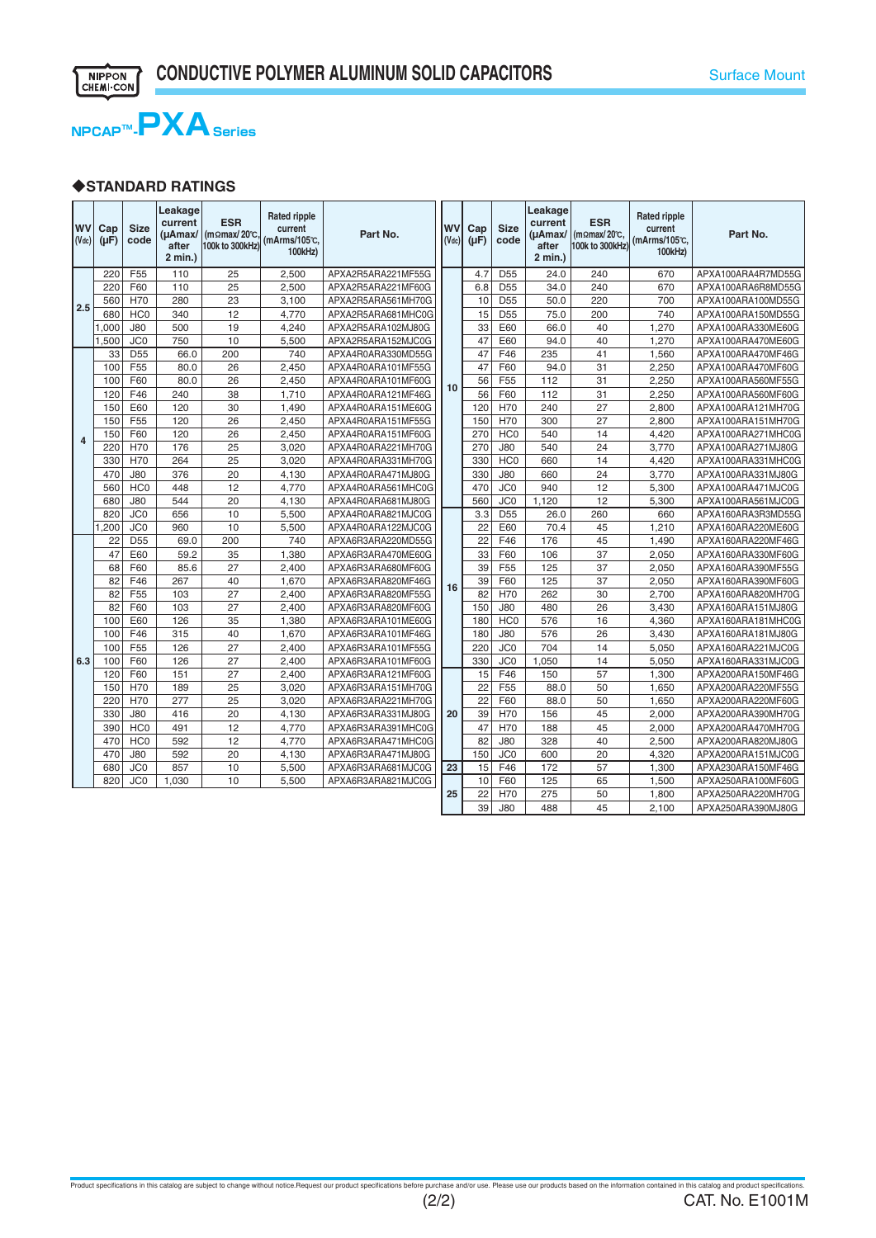

### ◆**STANDARD RATINGS**

| <b>WV</b><br>$($ Vdc $)$ | Cap<br>$(\mu F)$ | <b>Size</b><br>code | Leakage<br>current<br>$(\mu$ Amax/<br>after<br>2 min.) | <b>ESR</b><br>(momax/20°C.<br>100k to 300kHz) | <b>Rated ripple</b><br>current<br>(mArms/105℃,<br>100kHz) | Part No.           | <b>WV</b><br>$(V_{dc})$ | Cap<br>$(\mu F)$ | <b>Size</b><br>code | Leakage<br>current<br>$(\mu$ Amax/<br>after<br>2 min.) | <b>ESR</b><br>(mΩmax/20℃,<br>100k to 300kHz) | <b>Rated ripple</b><br>current<br>(mArms/105℃.<br>100kHz) | Part No.           |
|--------------------------|------------------|---------------------|--------------------------------------------------------|-----------------------------------------------|-----------------------------------------------------------|--------------------|-------------------------|------------------|---------------------|--------------------------------------------------------|----------------------------------------------|-----------------------------------------------------------|--------------------|
|                          | 220              | F <sub>55</sub>     | 110                                                    | 25                                            | 2.500                                                     | APXA2R5ARA221MF55G |                         | 4.7              | D <sub>55</sub>     | 24.0                                                   | 240                                          | 670                                                       | APXA100ARA4R7MD55G |
|                          | 220              | F60                 | 110                                                    | $\overline{25}$                               | 2.500                                                     | APXA2R5ARA221MF60G |                         | 6.8              | D <sub>55</sub>     | 34.0                                                   | 240                                          | 670                                                       | APXA100ARA6R8MD55G |
| 2.5                      | 560              | H70                 | 280                                                    | 23                                            | 3,100                                                     | APXA2R5ARA561MH70G |                         | 10               | D <sub>55</sub>     | 50.0                                                   | 220                                          | 700                                                       | APXA100ARA100MD55G |
|                          | 680              | HC <sub>0</sub>     | 340                                                    | 12                                            | 4,770                                                     | APXA2R5ARA681MHC0G |                         | 15               | D <sub>55</sub>     | 75.0                                                   | 200                                          | 740                                                       | APXA100ARA150MD55G |
|                          | ,000             | <b>J80</b>          | 500                                                    | 19                                            | 4,240                                                     | APXA2R5ARA102MJ80G | 10                      | 33               | E60                 | 66.0                                                   | 40                                           | 1,270                                                     | APXA100ARA330ME60G |
|                          | .500             | JC <sub>0</sub>     | 750                                                    | 10                                            | 5,500                                                     | APXA2R5ARA152MJC0G |                         | 47               | E60                 | 94.0                                                   | 40                                           | 1,270                                                     | APXA100ARA470ME60G |
|                          | 33               | D <sub>55</sub>     | 66.0                                                   | 200                                           | 740                                                       | APXA4R0ARA330MD55G |                         | 47               | F46                 | 235                                                    | 41                                           | 1,560                                                     | APXA100ARA470MF46G |
|                          | 100              | F55                 | 80.0                                                   | $\overline{26}$                               | 2,450                                                     | APXA4R0ARA101MF55G |                         | 47               | F60                 | 94.0                                                   | 31                                           | 2,250                                                     | APXA100ARA470MF60G |
|                          | 100              | F60                 | 80.0                                                   | 26                                            | 2,450                                                     | APXA4R0ARA101MF60G |                         | 56               | F55                 | 112                                                    | 31                                           | 2,250                                                     | APXA100ARA560MF55G |
|                          | 120              | F46                 | 240                                                    | 38                                            | 1,710                                                     | APXA4R0ARA121MF46G |                         | 56               | F60                 | 112                                                    | 31                                           | 2,250                                                     | APXA100ARA560MF60G |
|                          | 150              | E60                 | 120                                                    | 30                                            | 1,490                                                     | APXA4R0ARA151ME60G |                         | 120              | H70                 | 240                                                    | 27                                           | 2,800                                                     | APXA100ARA121MH70G |
|                          | 150              | F <sub>55</sub>     | 120                                                    | $\overline{26}$                               | 2,450                                                     | APXA4R0ARA151MF55G |                         | 150              | <b>H70</b>          | 300                                                    | $\overline{27}$                              | 2,800                                                     | APXA100ARA151MH70G |
|                          | 150              | F60                 | 120                                                    | $\overline{26}$                               | 2,450                                                     | APXA4R0ARA151MF60G |                         | 270              | HCO                 | 540                                                    | 14                                           | 4,420                                                     | APXA100ARA271MHC0G |
| $\overline{4}$           | 220              | H70                 | 176                                                    | 25                                            | 3,020                                                     | APXA4R0ARA221MH70G |                         | 270              | <b>J80</b>          | 540                                                    | 24                                           | 3,770                                                     | APXA100ARA271MJ80G |
|                          | 330              | H70                 | 264                                                    | 25                                            | 3,020                                                     | APXA4R0ARA331MH70G |                         | 330              | HC <sub>0</sub>     | 660                                                    | 14                                           | 4,420                                                     | APXA100ARA331MHC0G |
|                          | 470              | <b>J80</b>          | 376                                                    | 20                                            | 4,130                                                     | APXA4R0ARA471MJ80G |                         | 330              | <b>J80</b>          | 660                                                    | 24                                           | 3,770                                                     | APXA100ARA331MJ80G |
|                          | 560              | HC <sub>0</sub>     | 448                                                    | $\overline{12}$                               | 4,770                                                     | APXA4R0ARA561MHC0G | 16                      | 470              | JC <sub>0</sub>     | 940                                                    | 12                                           | 5,300                                                     | APXA100ARA471MJC0G |
|                          | 680              | $\overline{J80}$    | 544                                                    | $\overline{20}$                               | 4,130                                                     | APXA4R0ARA681MJ80G |                         | 560              | JCO                 | 1,120                                                  | 12                                           | 5,300                                                     | APXA100ARA561MJC0G |
|                          | 820              | JC <sub>0</sub>     | 656                                                    | 10                                            | 5,500                                                     | APXA4R0ARA821MJC0G |                         | 3.3              | D <sub>55</sub>     | 26.0                                                   | 260                                          | 660                                                       | APXA160ARA3R3MD55G |
|                          | 1,200            | JC <sub>0</sub>     | 960                                                    | 10                                            | 5,500                                                     | APXA4R0ARA122MJC0G |                         | 22               | E60                 | 70.4                                                   | 45                                           | 1,210                                                     | APXA160ARA220ME60G |
|                          | $\overline{22}$  | $\overline{D55}$    | 69.0                                                   | 200                                           | 740                                                       | APXA6R3ARA220MD55G |                         | 22               | F46                 | 176                                                    | 45                                           | 1,490                                                     | APXA160ARA220MF46G |
|                          | 47               | E60                 | 59.2                                                   | 35                                            | 1,380                                                     | APXA6R3ARA470ME60G |                         | 33               | F60                 | 106                                                    | 37                                           | 2,050                                                     | APXA160ARA330MF60G |
|                          | 68               | F60                 | 85.6                                                   | $\overline{27}$                               | 2,400                                                     | APXA6R3ARA680MF60G |                         | 39               | F <sub>55</sub>     | 125                                                    | 37                                           | 2,050                                                     | APXA160ARA390MF55G |
|                          | 82               | F46                 | 267                                                    | 40                                            | 1,670                                                     | APXA6R3ARA820MF46G |                         | 39               | F60                 | 125                                                    | 37                                           | 2,050                                                     | APXA160ARA390MF60G |
|                          | 82               | F <sub>55</sub>     | 103                                                    | 27                                            | 2,400                                                     | APXA6R3ARA820MF55G |                         | 82               | H70                 | 262                                                    | 30                                           | 2,700                                                     | APXA160ARA820MH70G |
|                          | 82               | F60                 | 103                                                    | 27                                            | 2,400                                                     | APXA6R3ARA820MF60G |                         | 150              | <b>J80</b>          | 480                                                    | 26                                           | 3,430                                                     | APXA160ARA151MJ80G |
|                          | 100              | E60                 | 126                                                    | 35                                            | 1,380                                                     | APXA6R3ARA101ME60G |                         | 180              | HC <sub>0</sub>     | 576                                                    | 16                                           | 4,360                                                     | APXA160ARA181MHC0G |
|                          | 100              | F46                 | 315                                                    | 40                                            | 1,670                                                     | APXA6R3ARA101MF46G |                         | 180              | <b>J80</b>          | 576                                                    | $\overline{26}$                              | 3,430                                                     | APXA160ARA181MJ80G |
|                          | 100              | F <sub>55</sub>     | 126                                                    | 27                                            | 2,400                                                     | APXA6R3ARA101MF55G |                         | 220              | JC <sub>0</sub>     | 704                                                    | 14                                           | 5,050                                                     | APXA160ARA221MJC0G |
| 6.3                      | 100              | F60                 | 126                                                    | 27                                            | 2,400                                                     | APXA6R3ARA101MF60G |                         | 330              | JC <sub>0</sub>     | 1,050                                                  | 14                                           | 5,050                                                     | APXA160ARA331MJC0G |
|                          | 120              | F60                 | 151                                                    | 27                                            | 2,400                                                     | APXA6R3ARA121MF60G |                         | 15               | F46                 | 150                                                    | $\overline{57}$                              | 1,300                                                     | APXA200ARA150MF46G |
|                          | 150              | H70                 | 189                                                    | 25                                            | 3,020                                                     | APXA6R3ARA151MH70G | 20                      | 22               | F <sub>55</sub>     | 88.0                                                   | 50                                           | 1,650                                                     | APXA200ARA220MF55G |
|                          | 220              | H70                 | 277                                                    | $\overline{25}$                               | 3,020                                                     | APXA6R3ARA221MH70G |                         | 22               | F60                 | 88.0                                                   | 50                                           | 1,650                                                     | APXA200ARA220MF60G |
|                          | 330              | <b>J80</b>          | 416                                                    | 20                                            | 4,130                                                     | APXA6R3ARA331MJ80G |                         | 39               | H70                 | 156                                                    | 45                                           | 2,000                                                     | APXA200ARA390MH70G |
|                          | 390              | HC <sub>0</sub>     | 491                                                    | 12                                            | 4,770                                                     | APXA6R3ARA391MHC0G |                         | 47               | H70                 | 188                                                    | 45                                           | 2,000                                                     | APXA200ARA470MH70G |
|                          | 470              | HC <sub>0</sub>     | 592                                                    | 12                                            | 4,770                                                     | APXA6R3ARA471MHC0G |                         | 82               | <b>J80</b>          | 328                                                    | 40                                           | 2,500                                                     | APXA200ARA820MJ80G |
|                          | 470              | <b>J80</b>          | 592                                                    | 20                                            | 4,130                                                     | APXA6R3ARA471MJ80G |                         | 150              | JC <sub>0</sub>     | 600                                                    | 20                                           | 4,320                                                     | APXA200ARA151MJC0G |
|                          | 680              | JC <sub>0</sub>     | 857                                                    | 10                                            | 5,500                                                     | APXA6R3ARA681MJC0G | 23                      | 15               | F46                 | 172                                                    | $\overline{57}$                              | 1,300                                                     | APXA230ARA150MF46G |
|                          | 820              | JC <sub>0</sub>     | 1,030                                                  | 10                                            | 5,500                                                     | APXA6R3ARA821MJC0G |                         | 10               | F60                 | 125                                                    | 65                                           | 1,500                                                     | APXA250ARA100MF60G |
|                          |                  |                     |                                                        |                                               |                                                           |                    | 25                      | 22               | H70                 | 275                                                    | 50                                           | 1,800                                                     | APXA250ARA220MH70G |
|                          |                  |                     |                                                        |                                               |                                                           |                    |                         | 39               | <b>J80</b>          | 488                                                    | 45                                           | 2,100                                                     | APXA250ARA390MJ80G |